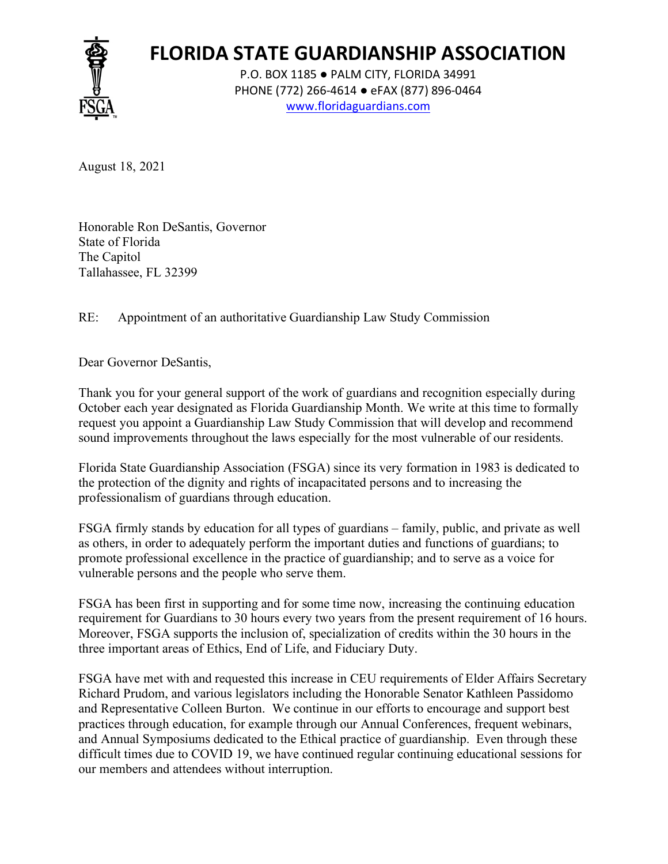

## **FLORIDA STATE GUARDIANSHIP ASSOCIATION**

P.O. BOX 1185 ● PALM CITY, FLORIDA 34991 PHONE (772) 266-4614 ● eFAX (877) 896-0464 www.floridaguardians.com

August 18, 2021

Honorable Ron DeSantis, Governor State of Florida The Capitol Tallahassee, FL 32399

RE: Appointment of an authoritative Guardianship Law Study Commission

Dear Governor DeSantis,

Thank you for your general support of the work of guardians and recognition especially during October each year designated as Florida Guardianship Month. We write at this time to formally request you appoint a Guardianship Law Study Commission that will develop and recommend sound improvements throughout the laws especially for the most vulnerable of our residents.

Florida State Guardianship Association (FSGA) since its very formation in 1983 is dedicated to the protection of the dignity and rights of incapacitated persons and to increasing the professionalism of guardians through education.

FSGA firmly stands by education for all types of guardians – family, public, and private as well as others, in order to adequately perform the important duties and functions of guardians; to promote professional excellence in the practice of guardianship; and to serve as a voice for vulnerable persons and the people who serve them.

FSGA has been first in supporting and for some time now, increasing the continuing education requirement for Guardians to 30 hours every two years from the present requirement of 16 hours. Moreover, FSGA supports the inclusion of, specialization of credits within the 30 hours in the three important areas of Ethics, End of Life, and Fiduciary Duty.

FSGA have met with and requested this increase in CEU requirements of Elder Affairs Secretary Richard Prudom, and various legislators including the Honorable Senator Kathleen Passidomo and Representative Colleen Burton. We continue in our efforts to encourage and support best practices through education, for example through our Annual Conferences, frequent webinars, and Annual Symposiums dedicated to the Ethical practice of guardianship. Even through these difficult times due to COVID 19, we have continued regular continuing educational sessions for our members and attendees without interruption.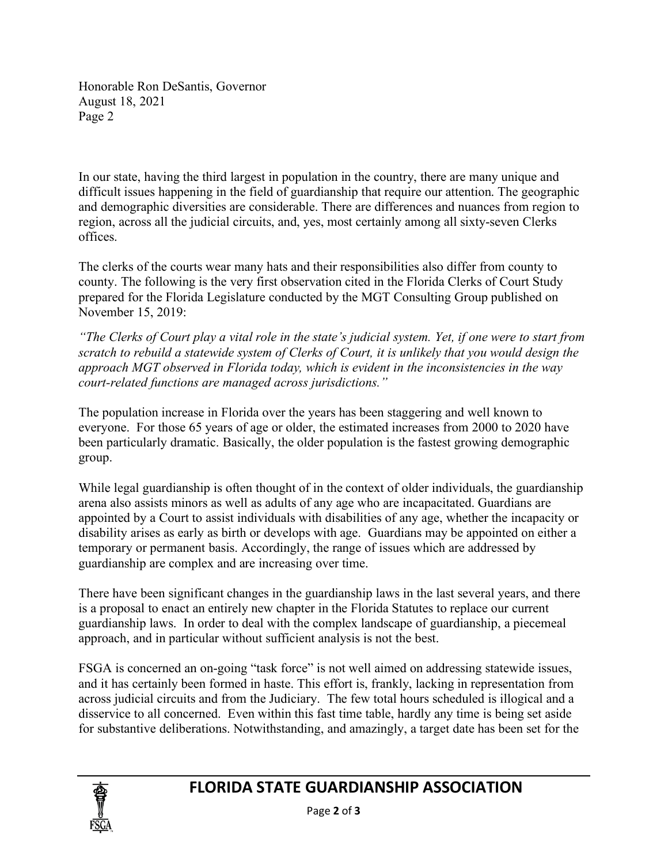Honorable Ron DeSantis, Governor August 18, 2021 Page 2

In our state, having the third largest in population in the country, there are many unique and difficult issues happening in the field of guardianship that require our attention. The geographic and demographic diversities are considerable. There are differences and nuances from region to region, across all the judicial circuits, and, yes, most certainly among all sixty-seven Clerks offices.

The clerks of the courts wear many hats and their responsibilities also differ from county to county. The following is the very first observation cited in the Florida Clerks of Court Study prepared for the Florida Legislature conducted by the MGT Consulting Group published on November 15, 2019:

*"The Clerks of Court play a vital role in the state's judicial system. Yet, if one were to start from scratch to rebuild a statewide system of Clerks of Court, it is unlikely that you would design the approach MGT observed in Florida today, which is evident in the inconsistencies in the way court-related functions are managed across jurisdictions."*

The population increase in Florida over the years has been staggering and well known to everyone. For those 65 years of age or older, the estimated increases from 2000 to 2020 have been particularly dramatic. Basically, the older population is the fastest growing demographic group.

While legal guardianship is often thought of in the context of older individuals, the guardianship arena also assists minors as well as adults of any age who are incapacitated. Guardians are appointed by a Court to assist individuals with disabilities of any age, whether the incapacity or disability arises as early as birth or develops with age. Guardians may be appointed on either a temporary or permanent basis. Accordingly, the range of issues which are addressed by guardianship are complex and are increasing over time.

There have been significant changes in the guardianship laws in the last several years, and there is a proposal to enact an entirely new chapter in the Florida Statutes to replace our current guardianship laws. In order to deal with the complex landscape of guardianship, a piecemeal approach, and in particular without sufficient analysis is not the best.

FSGA is concerned an on-going "task force" is not well aimed on addressing statewide issues, and it has certainly been formed in haste. This effort is, frankly, lacking in representation from across judicial circuits and from the Judiciary. The few total hours scheduled is illogical and a disservice to all concerned. Even within this fast time table, hardly any time is being set aside for substantive deliberations. Notwithstanding, and amazingly, a target date has been set for the